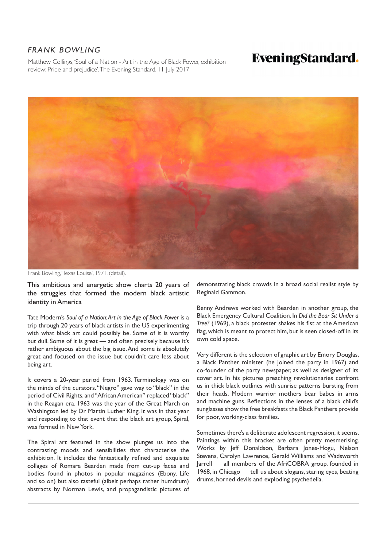## FRANK BOWLING

Matthew Collings, 'Soul of a Nation - Art in the Age of Black Power, exhibition review: Pride and prejudice', The Evening Standard, 11 July 2017

## **EveningStandard.**



Frank Bowling, 'Texas Louise', 1971, (detail).

This ambitious and energetic show charts 20 years of the struggles that formed the modern black artistic identity in America

Tate Modern's *Soul of a Nation: Art in the Age of Black Power* is a trip through 20 years of black artists in the US experimenting with what black art could possibly be. Some of it is worthy but dull. Some of it is great — and often precisely because it's rather ambiguous about the big issue. And some is absolutely great and focused on the issue but couldn't care less about being art.

It covers a 20-year period from 1963. Terminology was on the minds of the curators. "Negro" gave way to "black" in the period of Civil Rights, and "African American" replaced "black" in the Reagan era. 1963 was the year of the Great March on Washington led by Dr Martin Luther King. It was in that year and responding to that event that the black art group, Spiral, was formed in New York.

The Spiral art featured in the show plunges us into the contrasting moods and sensibilities that characterise the exhibition. It includes the fantastically refined and exquisite collages of Romare Bearden made from cut-up faces and bodies found in photos in popular magazines (Ebony, Life and so on) but also tasteful (albeit perhaps rather humdrum) abstracts by Norman Lewis, and propagandistic pictures of

demonstrating black crowds in a broad social realist style by Reginald Gammon.

Benny Andrews worked with Bearden in another group, the Black Emergency Cultural Coalition. In *Did the Bear Sit Under a Tree?* (1969), a black protester shakes his fist at the American flag, which is meant to protect him, but is seen closed-off in its own cold space.

Very different is the selection of graphic art by Emory Douglas, a Black Panther minister (he joined the party in 1967) and co-founder of the party newspaper, as well as designer of its cover art. In his pictures preaching revolutionaries confront us in thick black outlines with sunrise patterns bursting from their heads. Modern warrior mothers bear babes in arms and machine guns. Reflections in the lenses of a black child's sunglasses show the free breakfasts the Black Panthers provide for poor, working-class families.

Sometimes there's a deliberate adolescent regression, it seems. Paintings within this bracket are often pretty mesmerising. Works by Jeff Donaldson, Barbara Jones-Hogu, Nelson Stevens, Carolyn Lawrence, Gerald Williams and Wadsworth Jarrell — all members of the AfriCOBRA group, founded in 1968, in Chicago — tell us about slogans, staring eyes, beating drums, horned devils and exploding psychedelia.